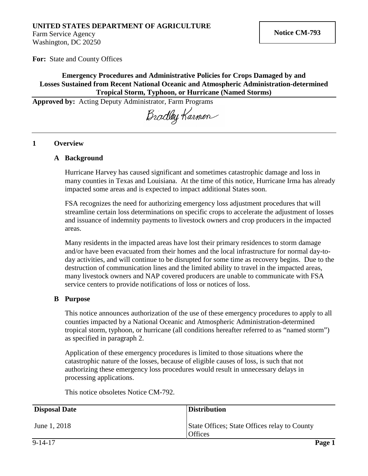# **UNITED STATES DEPARTMENT OF AGRICULTURE**

Farm Service Agency Washington, DC 20250

**For:** State and County Offices

### **Emergency Procedures and Administrative Policies for Crops Damaged by and Losses Sustained from Recent National Oceanic and Atmospheric Administration-determined Tropical Storm, Typhoon, or Hurricane (Named Storms)**

**Approved by:** Acting Deputy Administrator, Farm Programs

Bradley Karmen

#### **1 Overview**

#### **A Background**

Hurricane Harvey has caused significant and sometimes catastrophic damage and loss in many counties in Texas and Louisiana. At the time of this notice, Hurricane Irma has already impacted some areas and is expected to impact additional States soon.

FSA recognizes the need for authorizing emergency loss adjustment procedures that will streamline certain loss determinations on specific crops to accelerate the adjustment of losses and issuance of indemnity payments to livestock owners and crop producers in the impacted areas.

Many residents in the impacted areas have lost their primary residences to storm damage and/or have been evacuated from their homes and the local infrastructure for normal day-today activities, and will continue to be disrupted for some time as recovery begins. Due to the destruction of communication lines and the limited ability to travel in the impacted areas, many livestock owners and NAP covered producers are unable to communicate with FSA service centers to provide notifications of loss or notices of loss.

### **B Purpose**

This notice announces authorization of the use of these emergency procedures to apply to all counties impacted by a National Oceanic and Atmospheric Administration-determined tropical storm, typhoon, or hurricane (all conditions hereafter referred to as "named storm") as specified in paragraph 2.

Application of these emergency procedures is limited to those situations where the catastrophic nature of the losses, because of eligible causes of loss, is such that not authorizing these emergency loss procedures would result in unnecessary delays in processing applications.

This notice obsoletes Notice CM-792.

| <b>Disposal Date</b> | <b>Distribution</b>                                            |
|----------------------|----------------------------------------------------------------|
| June 1, 2018         | State Offices; State Offices relay to County<br><b>Offices</b> |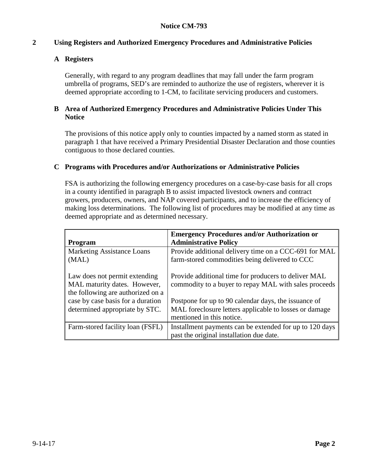## **2 Using Registers and Authorized Emergency Procedures and Administrative Policies**

## **A Registers**

Generally, with regard to any program deadlines that may fall under the farm program umbrella of programs, SED's are reminded to authorize the use of registers, wherever it is deemed appropriate according to 1-CM, to facilitate servicing producers and customers.

### **B Area of Authorized Emergency Procedures and Administrative Policies Under This Notice**

The provisions of this notice apply only to counties impacted by a named storm as stated in paragraph 1 that have received a Primary Presidential Disaster Declaration and those counties contiguous to those declared counties.

### **C Programs with Procedures and/or Authorizations or Administrative Policies**

FSA is authorizing the following emergency procedures on a case-by-case basis for all crops in a county identified in paragraph B to assist impacted livestock owners and contract growers, producers, owners, and NAP covered participants, and to increase the efficiency of making loss determinations. The following list of procedures may be modified at any time as deemed appropriate and as determined necessary.

| <b>Program</b>                                                                                     | <b>Emergency Procedures and/or Authorization or</b><br><b>Administrative Policy</b>                                                         |
|----------------------------------------------------------------------------------------------------|---------------------------------------------------------------------------------------------------------------------------------------------|
| <b>Marketing Assistance Loans</b><br>(MAL)                                                         | Provide additional delivery time on a CCC-691 for MAL<br>farm-stored commodities being delivered to CCC                                     |
| Law does not permit extending<br>MAL maturity dates. However,<br>the following are authorized on a | Provide additional time for producers to deliver MAL<br>commodity to a buyer to repay MAL with sales proceeds                               |
| case by case basis for a duration<br>determined appropriate by STC.                                | Postpone for up to 90 calendar days, the issuance of<br>MAL foreclosure letters applicable to losses or damage<br>mentioned in this notice. |
| Farm-stored facility loan (FSFL)                                                                   | Installment payments can be extended for up to 120 days<br>past the original installation due date.                                         |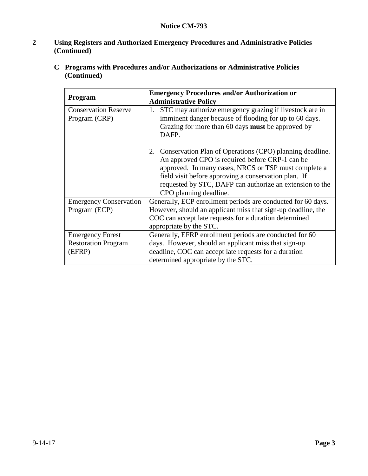# **2 Using Registers and Authorized Emergency Procedures and Administrative Policies (Continued)**

**C Programs with Procedures and/or Authorizations or Administrative Policies (Continued)**

|                               | <b>Emergency Procedures and/or Authorization or</b>           |
|-------------------------------|---------------------------------------------------------------|
| Program                       | <b>Administrative Policy</b>                                  |
| <b>Conservation Reserve</b>   | STC may authorize emergency grazing if livestock are in<br>1. |
| Program (CRP)                 | imminent danger because of flooding for up to 60 days.        |
|                               | Grazing for more than 60 days <b>must</b> be approved by      |
|                               | DAFP.                                                         |
|                               | 2. Conservation Plan of Operations (CPO) planning deadline.   |
|                               | An approved CPO is required before CRP-1 can be               |
|                               | approved. In many cases, NRCS or TSP must complete a          |
|                               | field visit before approving a conservation plan. If          |
|                               | requested by STC, DAFP can authorize an extension to the      |
|                               | CPO planning deadline.                                        |
| <b>Emergency Conservation</b> | Generally, ECP enrollment periods are conducted for 60 days.  |
| Program (ECP)                 | However, should an applicant miss that sign-up deadline, the  |
|                               | COC can accept late requests for a duration determined        |
|                               | appropriate by the STC.                                       |
| <b>Emergency Forest</b>       | Generally, EFRP enrollment periods are conducted for 60       |
| <b>Restoration Program</b>    | days. However, should an applicant miss that sign-up          |
| (EFRP)                        | deadline, COC can accept late requests for a duration         |
|                               | determined appropriate by the STC.                            |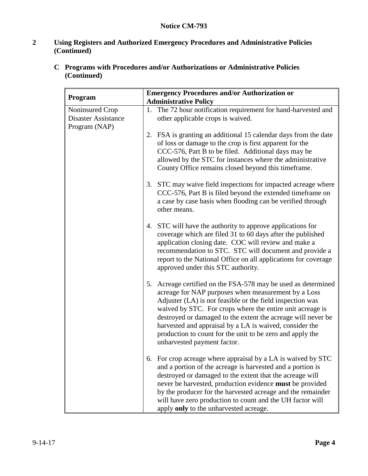# **2 Using Registers and Authorized Emergency Procedures and Administrative Policies (Continued)**

| C Programs with Procedures and/or Authorizations or Administrative Policies |
|-----------------------------------------------------------------------------|
| (Continued)                                                                 |

| Program                                                        | <b>Emergency Procedures and/or Authorization or</b><br><b>Administrative Policy</b> |                                                                                                                                                                                                                                                                                                                                                                                                                                                                    |
|----------------------------------------------------------------|-------------------------------------------------------------------------------------|--------------------------------------------------------------------------------------------------------------------------------------------------------------------------------------------------------------------------------------------------------------------------------------------------------------------------------------------------------------------------------------------------------------------------------------------------------------------|
| Noninsured Crop<br><b>Disaster Assistance</b><br>Program (NAP) | 1.                                                                                  | The 72 hour notification requirement for hand-harvested and<br>other applicable crops is waived.                                                                                                                                                                                                                                                                                                                                                                   |
|                                                                |                                                                                     | 2. FSA is granting an additional 15 calendar days from the date<br>of loss or damage to the crop is first apparent for the<br>CCC-576, Part B to be filed. Additional days may be<br>allowed by the STC for instances where the administrative<br>County Office remains closed beyond this timeframe.                                                                                                                                                              |
|                                                                |                                                                                     | 3. STC may waive field inspections for impacted acreage where<br>CCC-576, Part B is filed beyond the extended timeframe on<br>a case by case basis when flooding can be verified through<br>other means.                                                                                                                                                                                                                                                           |
|                                                                |                                                                                     | 4. STC will have the authority to approve applications for<br>coverage which are filed 31 to 60 days after the published<br>application closing date. COC will review and make a<br>recommendation to STC. STC will document and provide a<br>report to the National Office on all applications for coverage<br>approved under this STC authority.                                                                                                                 |
|                                                                | 5.                                                                                  | Acreage certified on the FSA-578 may be used as determined<br>acreage for NAP purposes when measurement by a Loss<br>Adjuster (LA) is not feasible or the field inspection was<br>waived by STC. For crops where the entire unit acreage is<br>destroyed or damaged to the extent the acreage will never be<br>harvested and appraisal by a LA is waived, consider the<br>production to count for the unit to be zero and apply the<br>unharvested payment factor. |
|                                                                |                                                                                     | 6. For crop acreage where appraisal by a LA is waived by STC<br>and a portion of the acreage is harvested and a portion is<br>destroyed or damaged to the extent that the acreage will<br>never be harvested, production evidence must be provided<br>by the producer for the harvested acreage and the remainder<br>will have zero production to count and the UH factor will<br>apply only to the unharvested acreage.                                           |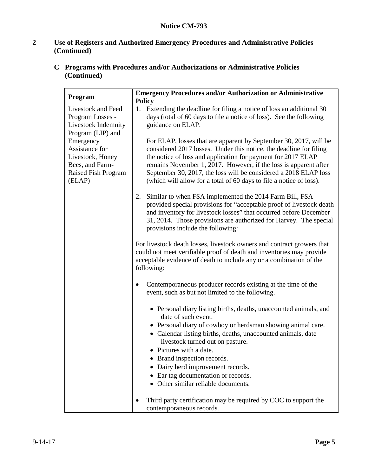# **2 Use of Registers and Authorized Emergency Procedures and Administrative Policies (Continued)**

| Program                                                                                             | <b>Emergency Procedures and/or Authorization or Administrative</b><br><b>Policy</b>                                                                                                                                                                                                                                                                                                                                    |
|-----------------------------------------------------------------------------------------------------|------------------------------------------------------------------------------------------------------------------------------------------------------------------------------------------------------------------------------------------------------------------------------------------------------------------------------------------------------------------------------------------------------------------------|
| Livestock and Feed<br>Program Losses -<br>Livestock Indemnity<br>Program (LIP) and                  | 1. Extending the deadline for filing a notice of loss an additional 30<br>days (total of 60 days to file a notice of loss). See the following<br>guidance on ELAP.                                                                                                                                                                                                                                                     |
| Emergency<br>Assistance for<br>Livestock, Honey<br>Bees, and Farm-<br>Raised Fish Program<br>(ELAP) | For ELAP, losses that are apparent by September 30, 2017, will be<br>considered 2017 losses. Under this notice, the deadline for filing<br>the notice of loss and application for payment for 2017 ELAP<br>remains November 1, 2017. However, if the loss is apparent after<br>September 30, 2017, the loss will be considered a 2018 ELAP loss<br>(which will allow for a total of 60 days to file a notice of loss). |
|                                                                                                     | Similar to when FSA implemented the 2014 Farm Bill, FSA<br>2.<br>provided special provisions for "acceptable proof of livestock death<br>and inventory for livestock losses" that occurred before December<br>31, 2014. Those provisions are authorized for Harvey. The special<br>provisions include the following:                                                                                                   |
|                                                                                                     | For livestock death losses, livestock owners and contract growers that<br>could not meet verifiable proof of death and inventories may provide<br>acceptable evidence of death to include any or a combination of the<br>following:                                                                                                                                                                                    |
|                                                                                                     | Contemporaneous producer records existing at the time of the<br>$\bullet$<br>event, such as but not limited to the following.                                                                                                                                                                                                                                                                                          |
|                                                                                                     | • Personal diary listing births, deaths, unaccounted animals, and<br>date of such event.                                                                                                                                                                                                                                                                                                                               |
|                                                                                                     | • Personal diary of cowboy or herdsman showing animal care.<br>• Calendar listing births, deaths, unaccounted animals, date<br>livestock turned out on pasture.<br>• Pictures with a date.                                                                                                                                                                                                                             |
|                                                                                                     | Brand inspection records.<br>Dairy herd improvement records.                                                                                                                                                                                                                                                                                                                                                           |
|                                                                                                     | Ear tag documentation or records.<br>Other similar reliable documents.                                                                                                                                                                                                                                                                                                                                                 |
|                                                                                                     | Third party certification may be required by COC to support the<br>contemporaneous records.                                                                                                                                                                                                                                                                                                                            |

**C Programs with Procedures and/or Authorizations or Administrative Policies (Continued)**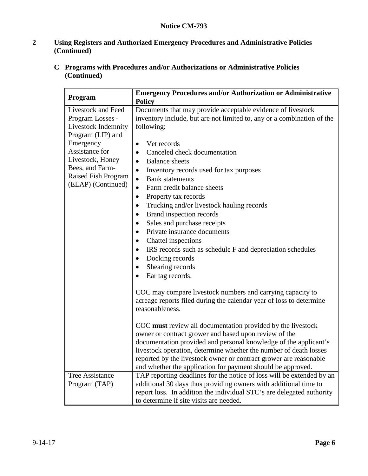# **2 Using Registers and Authorized Emergency Procedures and Administrative Policies (Continued)**

**C Programs with Procedures and/or Authorizations or Administrative Policies (Continued)**

| Program                                                                                                                                                                                               | <b>Emergency Procedures and/or Authorization or Administrative</b><br><b>Policy</b>                                                                                                                                                                                                                                                                                                                                                                                                                                                                                                                                                                                                                                                                                                                                                                                                                                                        |  |
|-------------------------------------------------------------------------------------------------------------------------------------------------------------------------------------------------------|--------------------------------------------------------------------------------------------------------------------------------------------------------------------------------------------------------------------------------------------------------------------------------------------------------------------------------------------------------------------------------------------------------------------------------------------------------------------------------------------------------------------------------------------------------------------------------------------------------------------------------------------------------------------------------------------------------------------------------------------------------------------------------------------------------------------------------------------------------------------------------------------------------------------------------------------|--|
| Livestock and Feed<br>Program Losses -<br>Livestock Indemnity<br>Program (LIP) and<br>Emergency<br>Assistance for<br>Livestock, Honey<br>Bees, and Farm-<br>Raised Fish Program<br>(ELAP) (Continued) | Documents that may provide acceptable evidence of livestock<br>inventory include, but are not limited to, any or a combination of the<br>following:<br>Vet records<br>$\bullet$<br>Canceled check documentation<br>$\bullet$<br><b>Balance</b> sheets<br>$\bullet$<br>Inventory records used for tax purposes<br>$\bullet$<br><b>Bank</b> statements<br>$\bullet$<br>Farm credit balance sheets<br>$\bullet$<br>Property tax records<br>$\bullet$<br>Trucking and/or livestock hauling records<br>٠<br>Brand inspection records<br>٠<br>Sales and purchase receipts<br>$\bullet$<br>Private insurance documents<br>$\bullet$<br>Chattel inspections<br>$\bullet$<br>IRS records such as schedule F and depreciation schedules<br>$\bullet$<br>Docking records<br>Shearing records<br>Ear tag records.<br>COC may compare livestock numbers and carrying capacity to<br>acreage reports filed during the calendar year of loss to determine |  |
|                                                                                                                                                                                                       | reasonableness.<br>COC must review all documentation provided by the livestock<br>owner or contract grower and based upon review of the<br>documentation provided and personal knowledge of the applicant's<br>livestock operation, determine whether the number of death losses<br>reported by the livestock owner or contract grower are reasonable<br>and whether the application for payment should be approved.                                                                                                                                                                                                                                                                                                                                                                                                                                                                                                                       |  |
| <b>Tree Assistance</b><br>Program (TAP)                                                                                                                                                               | TAP reporting deadlines for the notice of loss will be extended by an<br>additional 30 days thus providing owners with additional time to<br>report loss. In addition the individual STC's are delegated authority<br>to determine if site visits are needed.                                                                                                                                                                                                                                                                                                                                                                                                                                                                                                                                                                                                                                                                              |  |